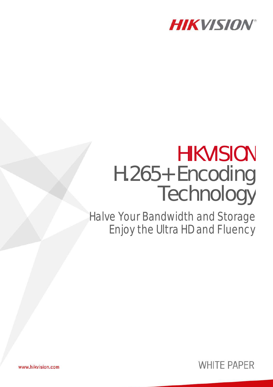

# HIKVISION H.265+ Encoding Technology

Halve Your Bandwidth and Storage Enjoy the Ultra HD and Fluency



www.hikvision.com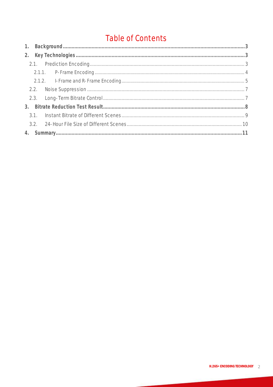## Table of Contents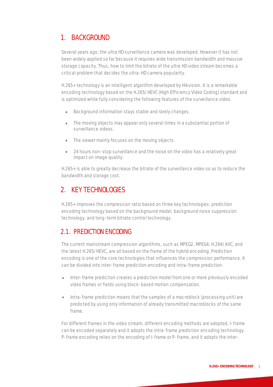## <span id="page-2-0"></span>1. BACKGROUND

Several years ago, the ultra HD surveillance camera was developed. However it has not been widely applied so far because it requires wide transmission bandwidth and massive storage capacity. Thus, how to limit the bitrate of the ultra HD video stream becomes a critical problem that decides the ultra-HD camera popularity.

H.265+ technology is an intelligent algorithm developed by Hikvision. It is a remarkable encoding technology based on the H.265/HEVC (High Efficiency Video Coding) standard and is optimized while fully considering the following features of the surveillance video.

- Background information stays stable and rarely changes.
- The moving objects may appear only several times in a substantial portion of surveillance videos.
- The viewer mainly focuses on the moving objects.
- 24 hours non-stop surveillance and the noise on the video has a relatively great impact on image quality.

H.265+ is able to greatly decrease the bitrate of the surveillance video so as to reduce the bandwidth and storage cost.

#### <span id="page-2-1"></span>2. KEY TECHNOLOGIES

H.265+ improves the compression ratio based on three key technologies: prediction encoding technology based on the background model, background noise suppression technology, and long-term bitrate control technology.

#### <span id="page-2-2"></span>2.1. PREDICTION ENCODING

The current mainstream compression algorithms, such as MPEG2, MPEG4, H.264/AVC, and the latest H.265/HEVC, are all based on the frame of the hybrid encoding. Prediction encoding is one of the core technologies that influences the compression performance. It can be divided into inter-frame prediction encoding and intra-frame prediction.

- Inter-frame prediction creates a prediction model from one or more previously encoded video frames or fields using block-based motion compensation.
- Intra-frame prediction means that the samples of a macroblock (processing unit) are predicted by using only information of already transmitted macroblocks of the same frame.

For different frames in the video stream, different encoding methods are adopted. I-frame can be encoded separately and it adopts the intra-frame prediction encoding technology. P-frame encoding relies on the encoding of I-frame or P-frame, and it adopts the inter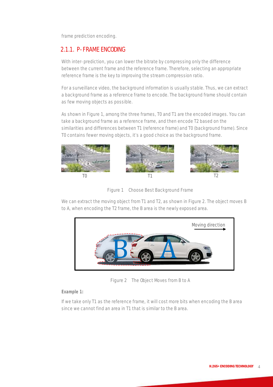frame prediction encoding.

#### <span id="page-3-0"></span>2.1.1. P-FRAME ENCODING

With inter-prediction, you can lower the bitrate by compressing only the difference between the current frame and the reference frame. Therefore, selecting an appropriate reference frame is the key to improving the stream compression ratio.

For a surveillance video, the background information is usually stable. Thus, we can extract a background frame as a reference frame to encode. The background frame should contain as few moving objects as possible.

As shown in Figure 1, among the three frames, T0 and T1 are the encoded images. You can take a background frame as a reference frame, and then encode T2 based on the similarities and differences between T1 (reference frame) and T0 (background frame). Since T0 contains fewer moving objects, it's a good choice as the background frame.





We can extract the moving object from T1 and T2, as shown in Figure 2. The object moves B to A, when encoding the T2 frame, the B area is the newly exposed area.



Figure 2 The Object Moves from B to A

*Example 1:*

If we take only T1 as the reference frame, it will cost more bits when encoding the B area since we cannot find an area in T1 that is similar to the B area.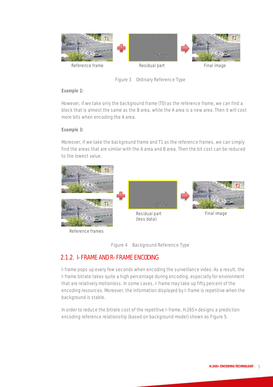

Figure 3 Ordinary Reference Type

#### *Example 2:*

However, if we take only the background frame (T0) as the reference frame, we can find a block that is almost the same as the B area, while the A area is a new area. Then it will cost more bits when encoding the A area.

#### *Example 3:*

Moreover, if we take the background frame and T1 as the reference frames, we can simply find the areas that are similar with the A area and B area. Then the bit cost can be reduced to the lowest value.



Reference frames



#### <span id="page-4-0"></span>2.1.2. I-FRAME AND R-FRAME ENCODING

I-frame pops up every few seconds when encoding the surveillance video. As a result, the I-frame bitrate takes quite a high percentage during encoding, especially for environment that are relatively motionless. In some cases, I-frame may take up fifty percent of the encoding resources. Moreover, the information displayed by I-frame is repetitive when the background is stable.

In order to reduce the bitrate cost of the repetitive I-frame, H.265+ designs a prediction encoding reference relationship (based on background model) shown as Figure 5.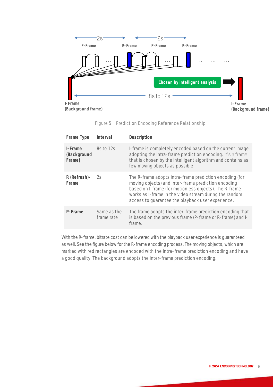

Figure 5 Prediction Encoding Reference Relationship

| Frame Type                       | Interval                  | Description                                                                                                                                                                                                                                                                             |
|----------------------------------|---------------------------|-----------------------------------------------------------------------------------------------------------------------------------------------------------------------------------------------------------------------------------------------------------------------------------------|
| I-Frame<br>(Background<br>Frame) | 8s to 12s                 | I-frame is completely encoded based on the current image<br>adopting the intra-frame prediction encoding. It's a frame<br>that is chosen by the intelligent algorithm and contains as<br>few moving objects as possible.                                                                |
| R (Refresh)-<br>Frame            | 2s                        | The R-frame adopts intra-frame prediction encoding (for<br>moving objects) and inter-frame prediction encoding<br>based on I-frame (for motionless objects). The R-frame<br>works as I-frame in the video stream during the random<br>access to quarantee the playback user experience. |
| P-Frame                          | Same as the<br>frame rate | The frame adopts the inter-frame prediction encoding that<br>is based on the previous frame (P-frame or R-frame) and I-<br>frame.                                                                                                                                                       |

With the R-frame, bitrate cost can be lowered with the playback user experience is guaranteed as well. See the figure below for the R-frame encoding process. The moving objects, which are marked with red rectangles are encoded with the intra-frame prediction encoding and have a good quality. The background adopts the inter-frame prediction encoding.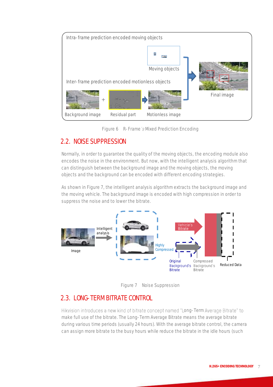



#### <span id="page-6-0"></span>2.2. NOISE SUPPRESSION

Normally, in order to guarantee the quality of the moving objects, the encoding module also encodes the noise in the environment. But now, with the intelligent analysis algorithm that can distinguish between the background image and the moving objects, the moving objects and the background can be encoded with different encoding strategies.

As shown in Figure 7, the intelligent analysis algorithm extracts the background image and the moving vehicle. The background image is encoded with high compression in order to suppress the noise and to lower the bitrate.



Figure 7 Noise Suppression

## <span id="page-6-1"></span>2.3. LONG-TERM BITRATE CONTROL

Hikvision introduces a new kind of bitrate concept named "Long-Term Average Bitrate" to make full use of the bitrate. The Long-Term Average Bitrate means the average bitrate during various time periods (usually 24 hours). With the average bitrate control, the camera can assign more bitrate to the busy hours while reduce the bitrate in the idle hours (such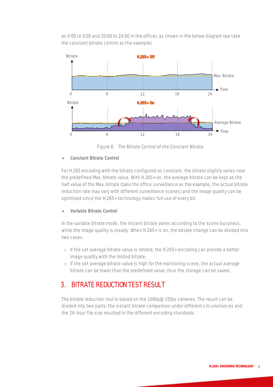as 0:00 to 9:00 and 20:00 to 24:00 in the office), as shown in the below diagram (we take the constant bitrate control as the example).



Figure 8 The Bitrate Control of the Constant Bitrate

**Constant Bitrate Control**

For H.265 encoding with the bitrate configured as constant, the bitrate slightly varies near the predefined Max. bitrate value. With H.265+ on, the average bitrate can be kept as the half value of the Max. bitrate (take the office surveillance as the example, the actual bitrate reduction rate may vary with different surveillance scenes) and the image quality can be optimized since the H.265+ technology makes full use of every bit.

**Variable Bitrate Control**

In the variable bitrate mode, the instant bitrate varies according to the scene busyness, while the image quality is steady. When H.265+ is on, the bitrate change can be divided into two cases.

- $\circ$  If the set average bitrate value is limited, the H.265+ encoding can provide a better image quality with the limited bitrate.
- o If the set average bitrate value is high for the monitoring scene, the actual average bitrate can be lower than the predefined value, thus the storage can be saved.

## <span id="page-7-0"></span>3. BITRATE REDUCTION TEST RESULT

The bitrate reduction test is based on the 1080p@25fps cameras. The result can be divided into two parts: the instant bitrate comparison under different circumstances and the 24-hour file size resulted in the different encoding standards.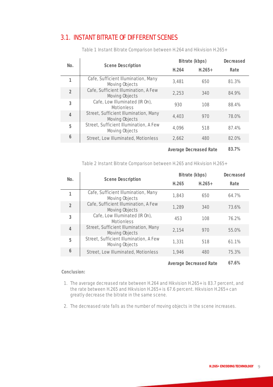#### <span id="page-8-0"></span>3.1. INSTANT BITRATE OF DIFFERENT SCENES

| No.            |                                                          | Bitrate (kbps) |          | Decreased |
|----------------|----------------------------------------------------------|----------------|----------|-----------|
|                | Scene Description                                        | H.264          | $H.265+$ | Rate      |
|                | Cafe, Sufficient Illumination, Many<br>Moving Objects    | 3,481          | 650      | 81.3%     |
| $\overline{2}$ | Cafe, Sufficient Illumination, A Few<br>Moving Objects   | 2,253          | 340      | 84.9%     |
| 3              | Cafe, Low Illuminated (IR On),<br><b>Motionless</b>      | 930            | 108      | 88.4%     |
| $\overline{4}$ | Street, Sufficient Illumination, Many<br>Moving Objects  | 4,403          | 970      | 78.0%     |
| 5              | Street, Sufficient Illumination, A Few<br>Moving Objects | 4,096          | 518      | 87.4%     |
| 6              | Street, Low Illuminated, Motionless                      | 2,662          | 480      | 82.0%     |
|                | Average Decreased Rate                                   |                | 83.7%    |           |

Table 1 Instant Bitrate Comparison between H.264 and Hikvision H.265+

Table 2 Instant Bitrate Comparison between H.265 and Hikvision H.265+

| No.            |                                                          | Bitrate (kbps) |                        | Decreased |
|----------------|----------------------------------------------------------|----------------|------------------------|-----------|
|                | <b>Scene Description</b>                                 | H.265          | $H.265+$               | Rate      |
|                | Cafe, Sufficient Illumination, Many<br>Moving Objects    | 1,843          | 650                    | 64.7%     |
| $\overline{2}$ | Cafe, Sufficient Illumination, A Few<br>Moving Objects   | 1,289          | 340                    | 73.6%     |
| 3              | Cafe, Low Illuminated (IR On),<br><b>Motionless</b>      | 453            | 108                    | 76.2%     |
| $\overline{4}$ | Street, Sufficient Illumination, Many<br>Moving Objects  | 2,154          | 970                    | 55.0%     |
| 5              | Street, Sufficient Illumination, A Few<br>Moving Objects | 1,331          | 518                    | 61.1%     |
| 6              | Street, Low Illuminated, Motionless                      | 1,946          | 480                    | 75.3%     |
|                |                                                          |                | Average Decreased Rate | 67.6%     |

**Conclusion:**

- 1. The average decreased rate between H.264 and Hikvision H.265+ is 83.7 percent, and the rate between H.265 and Hikvision H.265+ is 67.6 percent. Hikvision H.265+ can greatly decrease the bitrate in the same scene.
- 2. The decreased rate falls as the number of moving objects in the scene increases.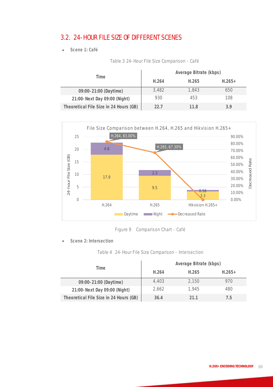#### <span id="page-9-0"></span>3.2. 24-HOUR FILE SIZE OF DIFFERENT SCENES

**Scene 1: Café**

|                                        | Average Bitrate (kbps) |       |          |  |
|----------------------------------------|------------------------|-------|----------|--|
| lime.                                  | H.264                  | H.265 | $H.265+$ |  |
| 09:00-21:00 (Daytime)                  | 3,482                  | 1.843 | 650      |  |
| 21:00-Next Day 09:00 (Night)           | 930                    | 453   | 108      |  |
| Theoretical File Size in 24 Hours (GB) | 22 T                   | 11 8  | 39       |  |





Figure 9 Comparison Chart - Café

**Scene 2: Intersection**

Table 4 24-Hour File Size Comparison - Intersection

| Time                                   | Average Bitrate (kbps) |       |          |  |
|----------------------------------------|------------------------|-------|----------|--|
|                                        | H.264                  | H.265 | $H.265+$ |  |
| 09:00-21:00 (Daytime)                  | 4.403                  | 2.150 | 970      |  |
| 21:00-Next Day 09:00 (Night)           | 2.662                  | 1.945 | 480      |  |
| Theoretical File Size in 24 Hours (GB) | 36.4                   | 211   | / h      |  |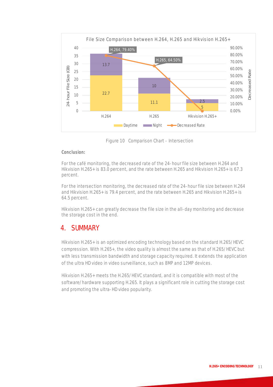

Figure 10 Comparison Chart - Intersection

#### **Conclusion:**

For the café monitoring, the decreased rate of the 24-hour file size between H.264 and Hikvision H.265+ is 83.0 percent, and the rate between H.265 and Hikvision H.265+ is 67.3 percent.

For the intersection monitoring, the decreased rate of the 24-hour file size between H.264 and Hikvision H.265+ is 79.4 percent, and the rate between H.265 and Hikvision H.265+ is 64.5 percent.

Hikvision H.265+ can greatly decrease the file size in the all-day monitoring and decrease the storage cost in the end.

#### <span id="page-10-0"></span>4. SUMMARY

Hikvision H.265+ is an optimized encoding technology based on the standard H.265/HEVC compression. With H.265+, the video quality is almost the same as that of H.265/HEVC but with less transmission bandwidth and storage capacity required. It extends the application of the ultra HD video in video surveillance, such as 8MP and 12MP devices.

Hikvision H.265+ meets the H.265/HEVC standard, and it is compatible with most of the software/hardware supporting H.265. It plays a significant role in cutting the storage cost and promoting the ultra-HD video popularity.